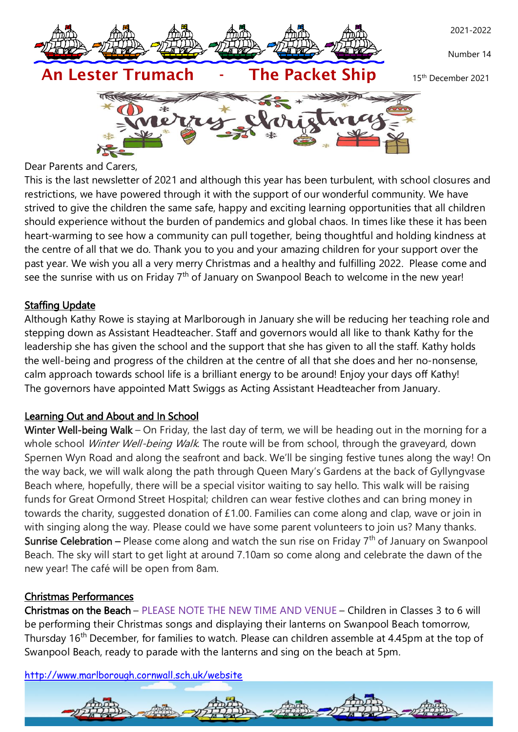

Dear Parents and Carers,

This is the last newsletter of 2021 and although this year has been turbulent, with school closures and restrictions, we have powered through it with the support of our wonderful community. We have strived to give the children the same safe, happy and exciting learning opportunities that all children should experience without the burden of pandemics and global chaos. In times like these it has been heart-warming to see how a community can pull together, being thoughtful and holding kindness at the centre of all that we do. Thank you to you and your amazing children for your support over the past year. We wish you all a very merry Christmas and a healthy and fulfilling 2022. Please come and see the sunrise with us on Friday 7<sup>th</sup> of January on Swanpool Beach to welcome in the new year!

## **Staffing Update**

Although Kathy Rowe is staying at Marlborough in January she will be reducing her teaching role and stepping down as Assistant Headteacher. Staff and governors would all like to thank Kathy for the leadership she has given the school and the support that she has given to all the staff. Kathy holds the well-being and progress of the children at the centre of all that she does and her no-nonsense, calm approach towards school life is a brilliant energy to be around! Enjoy your days off Kathy! The governors have appointed Matt Swiggs as Acting Assistant Headteacher from January.

### Learning Out and About and In School

Winter Well-being Walk – On Friday, the last day of term, we will be heading out in the morning for a whole school Winter Well-being Walk. The route will be from school, through the graveyard, down Spernen Wyn Road and along the seafront and back. We'll be singing festive tunes along the way! On the way back, we will walk along the path through Queen Mary's Gardens at the back of Gyllyngvase Beach where, hopefully, there will be a special visitor waiting to say hello. This walk will be raising funds for Great Ormond Street Hospital; children can wear festive clothes and can bring money in towards the charity, suggested donation of £1.00. Families can come along and clap, wave or join in with singing along the way. Please could we have some parent volunteers to join us? Many thanks. Sunrise Celebration – Please come along and watch the sun rise on Friday  $7<sup>th</sup>$  of January on Swanpool Beach. The sky will start to get light at around 7.10am so come along and celebrate the dawn of the new year! The café will be open from 8am.

# Christmas Performances

Christmas on the Beach – PLEASE NOTE THE NEW TIME AND VENUE – Children in Classes 3 to 6 will be performing their Christmas songs and displaying their lanterns on Swanpool Beach tomorrow, Thursday 16<sup>th</sup> December, for families to watch. Please can children assemble at 4.45pm at the top of Swanpool Beach, ready to parade with the lanterns and sing on the beach at 5pm.

<http://www.marlborough.cornwall.sch.uk/website>

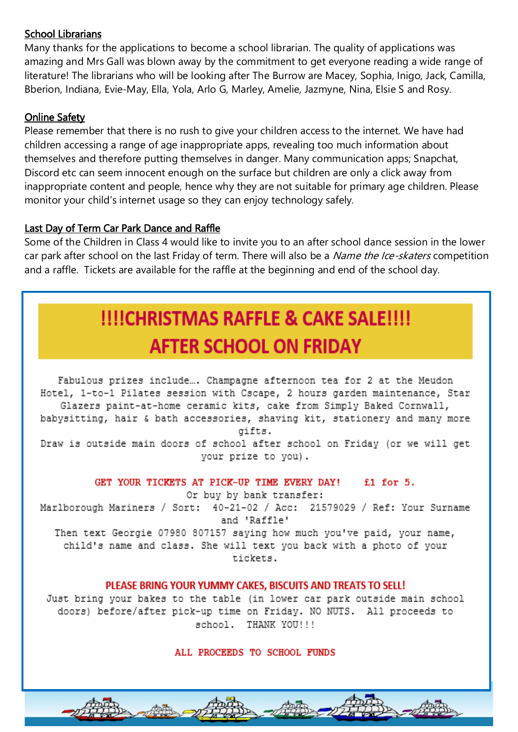## School Librarians

Many thanks for the applications to become a school librarian. The quality of applications was amazing and Mrs Gall was blown away by the commitment to get everyone reading a wide range of literature! The librarians who will be looking after The Burrow are Macey, Sophia, Inigo, Jack, Camilla, Bberion, Indiana, Evie-May, Ella, Yola, Arlo G, Marley, Amelie, Jazmyne, Nina, Elsie S and Rosy.

## **Online Safety**

Please remember that there is no rush to give your children access to the internet. We have had children accessing a range of age inappropriate apps, revealing too much information about themselves and therefore putting themselves in danger. Many communication apps; Snapchat, Discord etc can seem innocent enough on the surface but children are only a click away from inappropriate content and people, hence why they are not suitable for primary age children. Please monitor your child's internet usage so they can enjoy technology safely.

## Last Day of Term Car Park Dance and Raffle

Some of the Children in Class 4 would like to invite you to an after school dance session in the lower car park after school on the last Friday of term. There will also be a Name the Ice-skaters competition and a raffle. Tickets are available for the raffle at the beginning and end of the school day.

# **!!!!CHRISTMAS RAFFLE & CAKE SALE!!!! AFTER SCHOOL ON FRIDAY**

Fabulous prizes include... Champagne afternoon tea for 2 at the Meudon Hotel, 1-to-1 Pilates session with Cscape, 2 hours garden maintenance, Star Glazers paint-at-home ceramic kits, cake from Simply Baked Cornwall, babysitting, hair & bath accessories, shaving kit, stationery and many more qifts. Draw is outside main doors of school after school on Friday (or we will get your prize to you).

#### GET YOUR TICKETS AT PICK-UP TIME EVERY DAY! £1 for 5.

Or buy by bank transfer:

Marlborough Mariners / Sort: 40-21-02 / Acc: 21579029 / Ref: Your Surname and 'Raffle'

Then text Georgie 07980 807157 saying how much you've paid, your name, child's name and class. She will text you back with a photo of your tickets.

#### PLEASE BRING YOUR YUMMY CAKES, BISCUITS AND TREATS TO SELL!

Just bring your bakes to the table (in lower car park outside main school doors) before/after pick-up time on Friday. NO NUTS. All proceeds to school. THANK YOU!!!

ALL PROCEEDS TO SCHOOL FUNDS